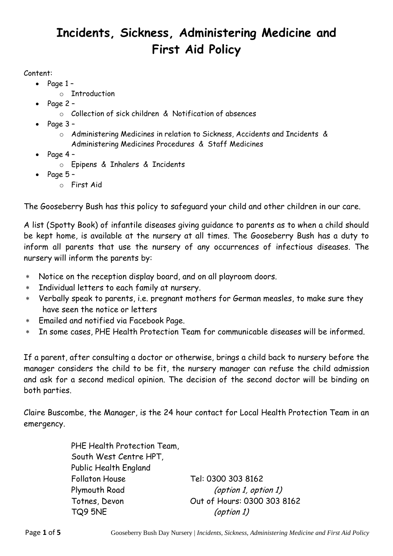# **Incidents, Sickness, Administering Medicine and First Aid Policy**

#### Content:

- $\bullet$  Page 1
	- o Introduction
- Page 2
	- o Collection of sick children & Notification of absences
- $\bullet$  Page 3
	- o Administering Medicines in relation to Sickness, Accidents and Incidents & Administering Medicines Procedures & Staff Medicines
- $\bullet$  Page 4
	- o Epipens & Inhalers & Incidents
- Page 5
	- o First Aid

The Gooseberry Bush has this policy to safeguard your child and other children in our care.

A list (Spotty Book) of infantile diseases giving guidance to parents as to when a child should be kept home, is available at the nursery at all times. The Gooseberry Bush has a duty to inform all parents that use the nursery of any occurrences of infectious diseases. The nursery will inform the parents by:

- Notice on the reception display board, and on all playroom doors.
- Individual letters to each family at nursery.
- Verbally speak to parents, i.e. pregnant mothers for German measles, to make sure they have seen the notice or letters
- Emailed and notified via Facebook Page.
- In some cases, PHE Health Protection Team for communicable diseases will be informed.

If a parent, after consulting a doctor or otherwise, brings a child back to nursery before the manager considers the child to be fit, the nursery manager can refuse the child admission and ask for a second medical opinion. The decision of the second doctor will be binding on both parties.

Claire Buscombe, the Manager, is the 24 hour contact for Local Health Protection Team in an emergency.

> PHE Health Protection Team, South West Centre HPT, Public Health England Follaton House Tel: 0300 303 8162 Plymouth Road (option 1, option 1) Totnes, Devon Out of Hours: 0300 303 8162 TQ9 5NE (option 1)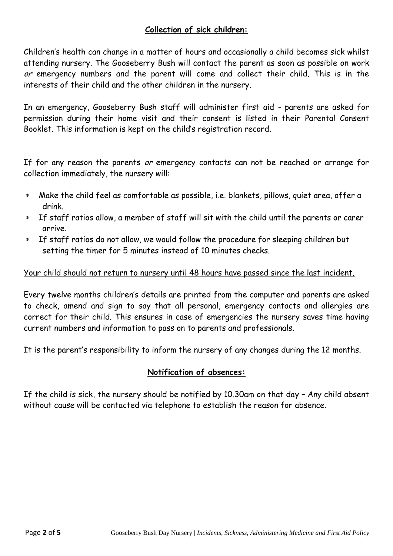### **Collection of sick children:**

Children's health can change in a matter of hours and occasionally a child becomes sick whilst attending nursery. The Gooseberry Bush will contact the parent as soon as possible on work or emergency numbers and the parent will come and collect their child. This is in the interests of their child and the other children in the nursery.

In an emergency, Gooseberry Bush staff will administer first aid - parents are asked for permission during their home visit and their consent is listed in their Parental Consent Booklet. This information is kept on the child's registration record.

If for any reason the parents or emergency contacts can not be reached or arrange for collection immediately, the nursery will:

- Make the child feel as comfortable as possible, i.e. blankets, pillows, quiet area, offer a drink.
- If staff ratios allow, a member of staff will sit with the child until the parents or carer arrive.
- If staff ratios do not allow, we would follow the procedure for sleeping children but setting the timer for 5 minutes instead of 10 minutes checks.

#### Your child should not return to nursery until 48 hours have passed since the last incident.

Every twelve months children's details are printed from the computer and parents are asked to check, amend and sign to say that all personal, emergency contacts and allergies are correct for their child. This ensures in case of emergencies the nursery saves time having current numbers and information to pass on to parents and professionals.

It is the parent's responsibility to inform the nursery of any changes during the 12 months.

#### **Notification of absences:**

If the child is sick, the nursery should be notified by 10.30am on that day – Any child absent without cause will be contacted via telephone to establish the reason for absence.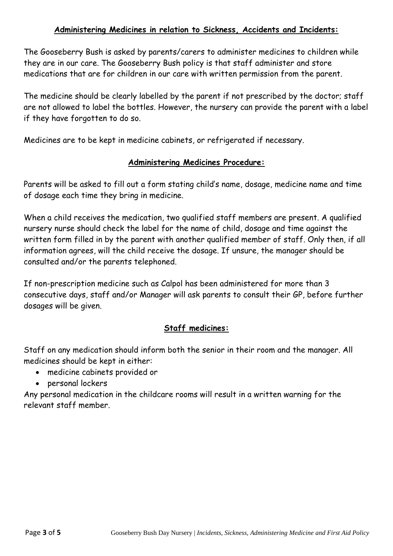#### **Administering Medicines in relation to Sickness, Accidents and Incidents:**

The Gooseberry Bush is asked by parents/carers to administer medicines to children while they are in our care. The Gooseberry Bush policy is that staff administer and store medications that are for children in our care with written permission from the parent.

The medicine should be clearly labelled by the parent if not prescribed by the doctor; staff are not allowed to label the bottles. However, the nursery can provide the parent with a label if they have forgotten to do so.

Medicines are to be kept in medicine cabinets, or refrigerated if necessary.

#### **Administering Medicines Procedure:**

Parents will be asked to fill out a form stating child's name, dosage, medicine name and time of dosage each time they bring in medicine.

When a child receives the medication, two qualified staff members are present. A qualified nursery nurse should check the label for the name of child, dosage and time against the written form filled in by the parent with another qualified member of staff. Only then, if all information agrees, will the child receive the dosage. If unsure, the manager should be consulted and/or the parents telephoned.

If non-prescription medicine such as Calpol has been administered for more than 3 consecutive days, staff and/or Manager will ask parents to consult their GP, before further dosages will be given.

#### **Staff medicines:**

Staff on any medication should inform both the senior in their room and the manager. All medicines should be kept in either:

- medicine cabinets provided or
- personal lockers

Any personal medication in the childcare rooms will result in a written warning for the relevant staff member.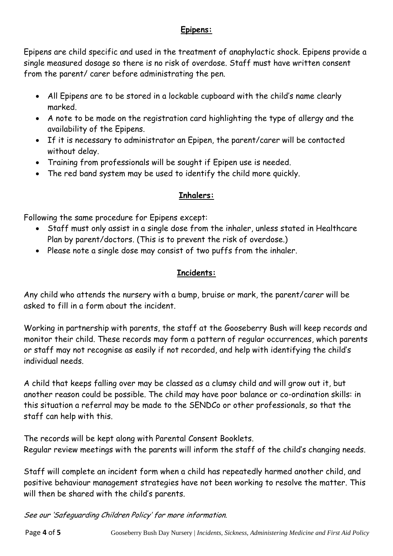## **Epipens:**

Epipens are child specific and used in the treatment of anaphylactic shock. Epipens provide a single measured dosage so there is no risk of overdose. Staff must have written consent from the parent/ carer before administrating the pen.

- All Epipens are to be stored in a lockable cupboard with the child's name clearly marked.
- A note to be made on the registration card highlighting the type of allergy and the availability of the Epipens.
- If it is necessary to administrator an Epipen, the parent/carer will be contacted without delay.
- Training from professionals will be sought if Epipen use is needed.
- The red band system may be used to identify the child more quickly.

## **Inhalers:**

Following the same procedure for Epipens except:

- Staff must only assist in a single dose from the inhaler, unless stated in Healthcare Plan by parent/doctors. (This is to prevent the risk of overdose.)
- Please note a single dose may consist of two puffs from the inhaler.

## **Incidents:**

Any child who attends the nursery with a bump, bruise or mark, the parent/carer will be asked to fill in a form about the incident.

Working in partnership with parents, the staff at the Gooseberry Bush will keep records and monitor their child. These records may form a pattern of regular occurrences, which parents or staff may not recognise as easily if not recorded, and help with identifying the child's individual needs.

A child that keeps falling over may be classed as a clumsy child and will grow out it, but another reason could be possible. The child may have poor balance or co-ordination skills: in this situation a referral may be made to the SENDCo or other professionals, so that the staff can help with this.

The records will be kept along with Parental Consent Booklets. Regular review meetings with the parents will inform the staff of the child's changing needs.

Staff will complete an incident form when a child has repeatedly harmed another child, and positive behaviour management strategies have not been working to resolve the matter. This will then be shared with the child's parents.

See our 'Safeguarding Children Policy' for more information.